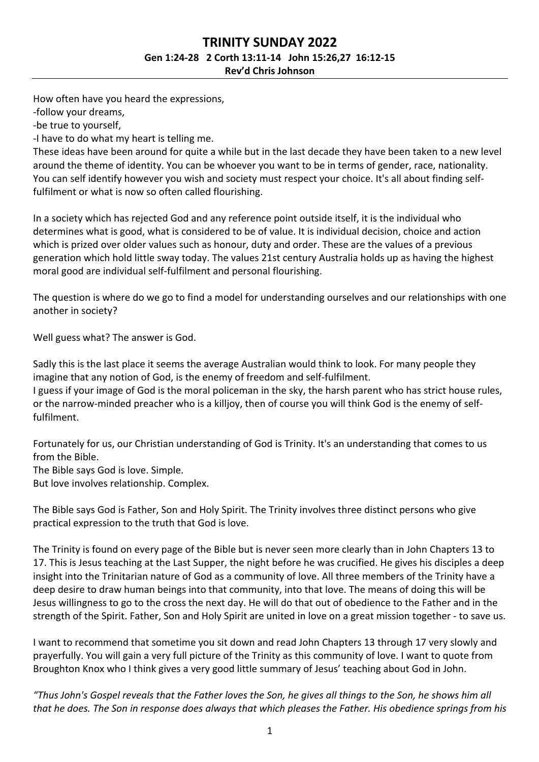## **TRINITY SUNDAY 2022 Gen 1:24-28 2 Corth 13:11-14 John 15:26,27 16:12-15 Rev'd Chris Johnson**

How often have you heard the expressions,

-follow your dreams,

-be true to yourself,

-I have to do what my heart is telling me.

These ideas have been around for quite a while but in the last decade they have been taken to a new level around the theme of identity. You can be whoever you want to be in terms of gender, race, nationality. You can self identify however you wish and society must respect your choice. It's all about finding selffulfilment or what is now so often called flourishing.

In a society which has rejected God and any reference point outside itself, it is the individual who determines what is good, what is considered to be of value. It is individual decision, choice and action which is prized over older values such as honour, duty and order. These are the values of a previous generation which hold little sway today. The values 21st century Australia holds up as having the highest moral good are individual self-fulfilment and personal flourishing.

The question is where do we go to find a model for understanding ourselves and our relationships with one another in society?

Well guess what? The answer is God.

Sadly this is the last place it seems the average Australian would think to look. For many people they imagine that any notion of God, is the enemy of freedom and self-fulfilment.

I guess if your image of God is the moral policeman in the sky, the harsh parent who has strict house rules, or the narrow-minded preacher who is a killjoy, then of course you will think God is the enemy of selffulfilment.

Fortunately for us, our Christian understanding of God is Trinity. It's an understanding that comes to us from the Bible.

The Bible says God is love. Simple.

But love involves relationship. Complex.

The Bible says God is Father, Son and Holy Spirit. The Trinity involves three distinct persons who give practical expression to the truth that God is love.

The Trinity is found on every page of the Bible but is never seen more clearly than in John Chapters 13 to 17. This is Jesus teaching at the Last Supper, the night before he was crucified. He gives his disciples a deep insight into the Trinitarian nature of God as a community of love. All three members of the Trinity have a deep desire to draw human beings into that community, into that love. The means of doing this will be Jesus willingness to go to the cross the next day. He will do that out of obedience to the Father and in the strength of the Spirit. Father, Son and Holy Spirit are united in love on a great mission together - to save us.

I want to recommend that sometime you sit down and read John Chapters 13 through 17 very slowly and prayerfully. You will gain a very full picture of the Trinity as this community of love. I want to quote from Broughton Knox who I think gives a very good little summary of Jesus' teaching about God in John.

*"Thus John's Gospel reveals that the Father loves the Son, he gives all things to the Son, he shows him all that he does. The Son in response does always that which pleases the Father. His obedience springs from his*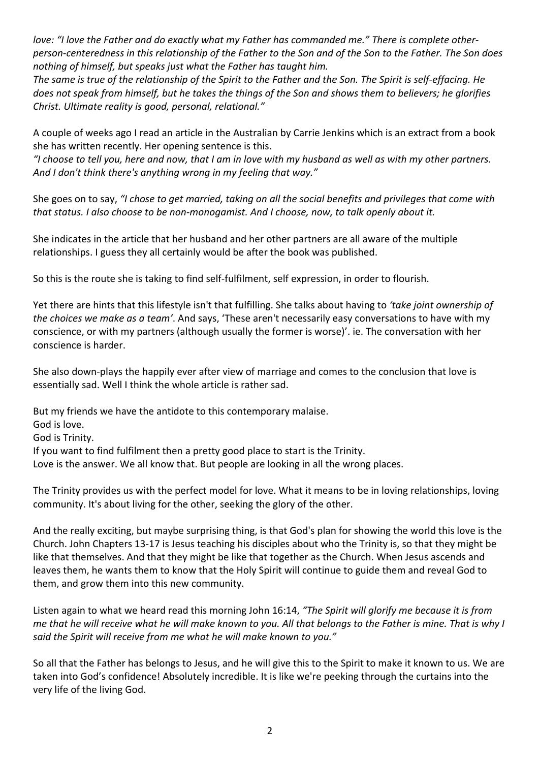*love: "I love the Father and do exactly what my Father has commanded me." There is complete otherperson-centeredness in this relationship of the Father to the Son and of the Son to the Father. The Son does nothing of himself, but speaks just what the Father has taught him.*

*The same is true of the relationship of the Spirit to the Father and the Son. The Spirit is self-effacing. He does not speak from himself, but he takes the things of the Son and shows them to believers; he glorifies Christ. Ultimate reality is good, personal, relational."*

A couple of weeks ago I read an article in the Australian by Carrie Jenkins which is an extract from a book she has written recently. Her opening sentence is this.

*"I choose to tell you, here and now, that I am in love with my husband as well as with my other partners. And I don't think there's anything wrong in my feeling that way."*

She goes on to say, *"I chose to get married, taking on all the social benefits and privileges that come with that status. I also choose to be non-monogamist. And I choose, now, to talk openly about it.*

She indicates in the article that her husband and her other partners are all aware of the multiple relationships. I guess they all certainly would be after the book was published.

So this is the route she is taking to find self-fulfilment, self expression, in order to flourish.

Yet there are hints that this lifestyle isn't that fulfilling. She talks about having to *'take joint ownership of the choices we make as a team'*. And says, 'These aren't necessarily easy conversations to have with my conscience, or with my partners (although usually the former is worse)'. ie. The conversation with her conscience is harder.

She also down-plays the happily ever after view of marriage and comes to the conclusion that love is essentially sad. Well I think the whole article is rather sad.

But my friends we have the antidote to this contemporary malaise. God is love. God is Trinity. If you want to find fulfilment then a pretty good place to start is the Trinity. Love is the answer. We all know that. But people are looking in all the wrong places.

The Trinity provides us with the perfect model for love. What it means to be in loving relationships, loving community. It's about living for the other, seeking the glory of the other.

And the really exciting, but maybe surprising thing, is that God's plan for showing the world this love is the Church. John Chapters 13-17 is Jesus teaching his disciples about who the Trinity is, so that they might be like that themselves. And that they might be like that together as the Church. When Jesus ascends and leaves them, he wants them to know that the Holy Spirit will continue to guide them and reveal God to them, and grow them into this new community.

Listen again to what we heard read this morning John 16:14, *"The Spirit will glorify me because it is from me that he will receive what he will make known to you. All that belongs to the Father is mine. That is why I said the Spirit will receive from me what he will make known to you."*

So all that the Father has belongs to Jesus, and he will give this to the Spirit to make it known to us. We are taken into God's confidence! Absolutely incredible. It is like we're peeking through the curtains into the very life of the living God.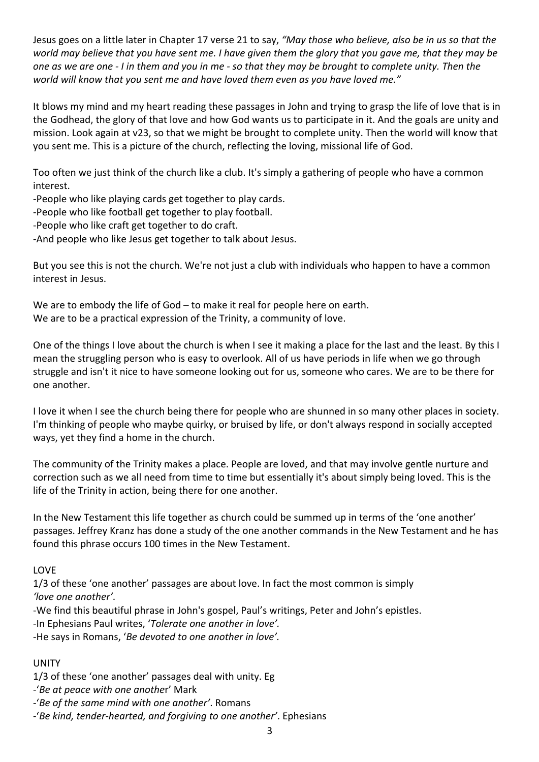Jesus goes on a little later in Chapter 17 verse 21 to say, *"May those who believe, also be in us so that the world may believe that you have sent me. I have given them the glory that you gave me, that they may be one as we are one - I in them and you in me - so that they may be brought to complete unity. Then the world will know that you sent me and have loved them even as you have loved me."*

It blows my mind and my heart reading these passages in John and trying to grasp the life of love that is in the Godhead, the glory of that love and how God wants us to participate in it. And the goals are unity and mission. Look again at v23, so that we might be brought to complete unity. Then the world will know that you sent me. This is a picture of the church, reflecting the loving, missional life of God.

Too often we just think of the church like a club. It's simply a gathering of people who have a common interest.

-People who like playing cards get together to play cards.

-People who like football get together to play football.

-People who like craft get together to do craft.

-And people who like Jesus get together to talk about Jesus.

But you see this is not the church. We're not just a club with individuals who happen to have a common interest in Jesus.

We are to embody the life of God – to make it real for people here on earth. We are to be a practical expression of the Trinity, a community of love.

One of the things I love about the church is when I see it making a place for the last and the least. By this I mean the struggling person who is easy to overlook. All of us have periods in life when we go through struggle and isn't it nice to have someone looking out for us, someone who cares. We are to be there for one another.

I love it when I see the church being there for people who are shunned in so many other places in society. I'm thinking of people who maybe quirky, or bruised by life, or don't always respond in socially accepted ways, yet they find a home in the church.

The community of the Trinity makes a place. People are loved, and that may involve gentle nurture and correction such as we all need from time to time but essentially it's about simply being loved. This is the life of the Trinity in action, being there for one another.

In the New Testament this life together as church could be summed up in terms of the 'one another' passages. Jeffrey Kranz has done a study of the one another commands in the New Testament and he has found this phrase occurs 100 times in the New Testament.

## LOVE

1/3 of these 'one another' passages are about love. In fact the most common is simply *'love one another'*.

-We find this beautiful phrase in John's gospel, Paul's writings, Peter and John's epistles.

-In Ephesians Paul writes, '*Tolerate one another in love'.*

-He says in Romans, '*Be devoted to one another in love'.*

## UNITY

1/3 of these 'one another' passages deal with unity. Eg

-'*Be at peace with one anothe*r' Mark

-'*Be of the same mind with one another'*. Romans

-'*Be kind, tender-hearted, and forgiving to one another'*. Ephesians